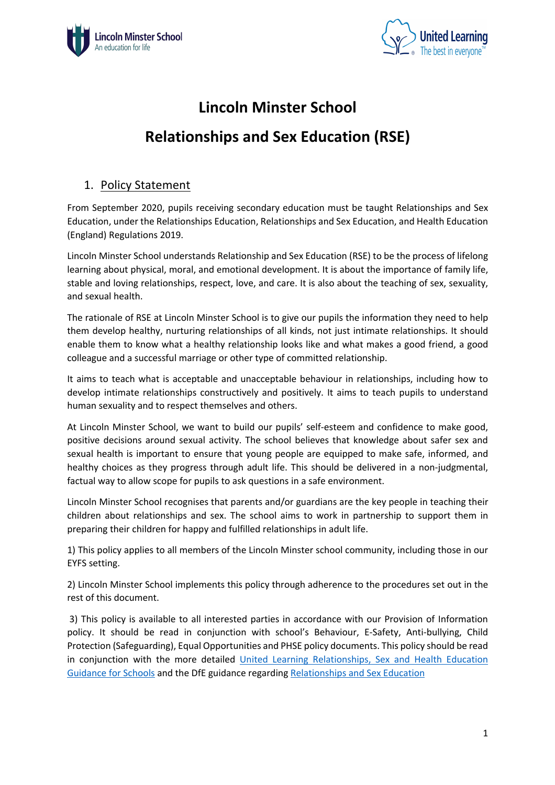



# **Lincoln Minster School**

# **Relationships and Sex Education (RSE)**

# 1. Policy Statement

From September 2020, pupils receiving secondary education must be taught Relationships and Sex Education, under the Relationships Education, Relationships and Sex Education, and Health Education (England) Regulations 2019.

Lincoln Minster School understands Relationship and Sex Education (RSE) to be the process of lifelong learning about physical, moral, and emotional development. It is about the importance of family life, stable and loving relationships, respect, love, and care. It is also about the teaching of sex, sexuality, and sexual health.

The rationale of RSE at Lincoln Minster School is to give our pupils the information they need to help them develop healthy, nurturing relationships of all kinds, not just intimate relationships. It should enable them to know what a healthy relationship looks like and what makes a good friend, a good colleague and a successful marriage or other type of committed relationship.

It aims to teach what is acceptable and unacceptable behaviour in relationships, including how to develop intimate relationships constructively and positively. It aims to teach pupils to understand human sexuality and to respect themselves and others.

At Lincoln Minster School, we want to build our pupils' self-esteem and confidence to make good, positive decisions around sexual activity. The school believes that knowledge about safer sex and sexual health is important to ensure that young people are equipped to make safe, informed, and healthy choices as they progress through adult life. This should be delivered in a non-judgmental, factual way to allow scope for pupils to ask questions in a safe environment.

Lincoln Minster School recognises that parents and/or guardians are the key people in teaching their children about relationships and sex. The school aims to work in partnership to support them in preparing their children for happy and fulfilled relationships in adult life.

1) This policy applies to all members of the Lincoln Minster school community, including those in our EYFS setting.

2) Lincoln Minster School implements this policy through adherence to the procedures set out in the rest of this document.

3) This policy is available to all interested parties in accordance with our Provision of Information policy. It should be read in conjunction with school's Behaviour, E-Safety, Anti-bullying, Child Protection (Safeguarding), Equal Opportunities and PHSE policy documents. This policy should be read in conjunction with the more detailed United Learning Relationships, Sex and Health Education Guidance for Schools and the DfE guidance regarding Relationships and Sex Education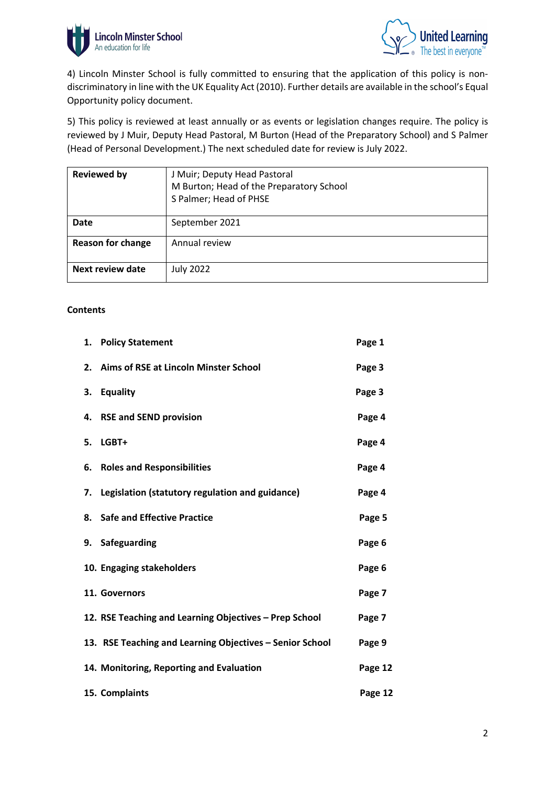



4) Lincoln Minster School is fully committed to ensuring that the application of this policy is nondiscriminatory in line with the UK Equality Act (2010). Further details are available in the school's Equal Opportunity policy document.

5) This policy is reviewed at least annually or as events or legislation changes require. The policy is reviewed by J Muir, Deputy Head Pastoral, M Burton (Head of the Preparatory School) and S Palmer (Head of Personal Development.) The next scheduled date for review is July 2022.

| <b>Reviewed by</b>       | J Muir; Deputy Head Pastoral<br>M Burton; Head of the Preparatory School<br>S Palmer; Head of PHSE |
|--------------------------|----------------------------------------------------------------------------------------------------|
| <b>Date</b>              | September 2021                                                                                     |
| <b>Reason for change</b> | Annual review                                                                                      |
| Next review date         | <b>July 2022</b>                                                                                   |

#### **Contents**

|    | 1. Policy Statement                                      | Page 1  |
|----|----------------------------------------------------------|---------|
|    | 2. Aims of RSE at Lincoln Minster School                 | Page 3  |
| 3. | <b>Equality</b>                                          | Page 3  |
| 4. | <b>RSE and SEND provision</b>                            | Page 4  |
|    | 5. LGBT+                                                 | Page 4  |
|    | 6. Roles and Responsibilities                            | Page 4  |
| 7. | Legislation (statutory regulation and guidance)          | Page 4  |
|    | 8. Safe and Effective Practice                           | Page 5  |
|    | 9. Safeguarding                                          | Page 6  |
|    | 10. Engaging stakeholders                                | Page 6  |
|    | 11. Governors                                            | Page 7  |
|    | 12. RSE Teaching and Learning Objectives - Prep School   | Page 7  |
|    | 13. RSE Teaching and Learning Objectives - Senior School | Page 9  |
|    | 14. Monitoring, Reporting and Evaluation                 | Page 12 |
|    | 15. Complaints                                           | Page 12 |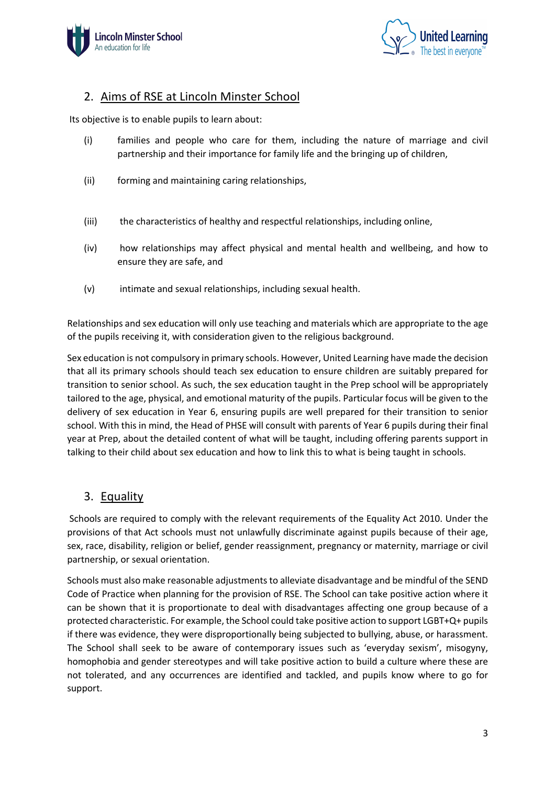



## 2. Aims of RSE at Lincoln Minster School

Its objective is to enable pupils to learn about:

- (i) families and people who care for them, including the nature of marriage and civil partnership and their importance for family life and the bringing up of children,
- (ii) forming and maintaining caring relationships,
- (iii) the characteristics of healthy and respectful relationships, including online,
- (iv) how relationships may affect physical and mental health and wellbeing, and how to ensure they are safe, and
- (v) intimate and sexual relationships, including sexual health.

Relationships and sex education will only use teaching and materials which are appropriate to the age of the pupils receiving it, with consideration given to the religious background.

Sex education is not compulsory in primary schools. However, United Learning have made the decision that all its primary schools should teach sex education to ensure children are suitably prepared for transition to senior school. As such, the sex education taught in the Prep school will be appropriately tailored to the age, physical, and emotional maturity of the pupils. Particular focus will be given to the delivery of sex education in Year 6, ensuring pupils are well prepared for their transition to senior school. With this in mind, the Head of PHSE will consult with parents of Year 6 pupils during their final year at Prep, about the detailed content of what will be taught, including offering parents support in talking to their child about sex education and how to link this to what is being taught in schools.

# 3. Equality

Schools are required to comply with the relevant requirements of the Equality Act 2010. Under the provisions of that Act schools must not unlawfully discriminate against pupils because of their age, sex, race, disability, religion or belief, gender reassignment, pregnancy or maternity, marriage or civil partnership, or sexual orientation.

Schools must also make reasonable adjustments to alleviate disadvantage and be mindful of the SEND Code of Practice when planning for the provision of RSE. The School can take positive action where it can be shown that it is proportionate to deal with disadvantages affecting one group because of a protected characteristic. For example, the School could take positive action to support LGBT+Q+ pupils if there was evidence, they were disproportionally being subjected to bullying, abuse, or harassment. The School shall seek to be aware of contemporary issues such as 'everyday sexism', misogyny, homophobia and gender stereotypes and will take positive action to build a culture where these are not tolerated, and any occurrences are identified and tackled, and pupils know where to go for support.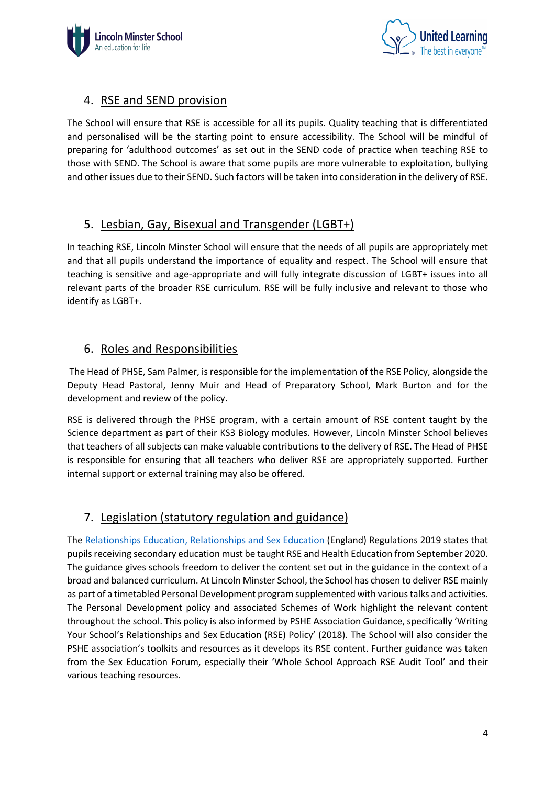



## 4. RSE and SEND provision

The School will ensure that RSE is accessible for all its pupils. Quality teaching that is differentiated and personalised will be the starting point to ensure accessibility. The School will be mindful of preparing for 'adulthood outcomes' as set out in the SEND code of practice when teaching RSE to those with SEND. The School is aware that some pupils are more vulnerable to exploitation, bullying and other issues due to their SEND. Such factors will be taken into consideration in the delivery of RSE.

# 5. Lesbian, Gay, Bisexual and Transgender (LGBT+)

In teaching RSE, Lincoln Minster School will ensure that the needs of all pupils are appropriately met and that all pupils understand the importance of equality and respect. The School will ensure that teaching is sensitive and age-appropriate and will fully integrate discussion of LGBT+ issues into all relevant parts of the broader RSE curriculum. RSE will be fully inclusive and relevant to those who identify as LGBT+.

## 6. Roles and Responsibilities

The Head of PHSE, Sam Palmer, is responsible for the implementation of the RSE Policy, alongside the Deputy Head Pastoral, Jenny Muir and Head of Preparatory School, Mark Burton and for the development and review of the policy.

RSE is delivered through the PHSE program, with a certain amount of RSE content taught by the Science department as part of their KS3 Biology modules. However, Lincoln Minster School believes that teachers of all subjects can make valuable contributions to the delivery of RSE. The Head of PHSE is responsible for ensuring that all teachers who deliver RSE are appropriately supported. Further internal support or external training may also be offered.

# 7. Legislation (statutory regulation and guidance)

The Relationships Education, Relationships and Sex Education (England) Regulations 2019 states that pupils receiving secondary education must be taught RSE and Health Education from September 2020. The guidance gives schools freedom to deliver the content set out in the guidance in the context of a broad and balanced curriculum. At Lincoln Minster School, the School has chosen to deliver RSE mainly as part of a timetabled Personal Development program supplemented with various talks and activities. The Personal Development policy and associated Schemes of Work highlight the relevant content throughout the school. This policy is also informed by PSHE Association Guidance, specifically 'Writing Your School's Relationships and Sex Education (RSE) Policy' (2018). The School will also consider the PSHE association's toolkits and resources as it develops its RSE content. Further guidance was taken from the Sex Education Forum, especially their 'Whole School Approach RSE Audit Tool' and their various teaching resources.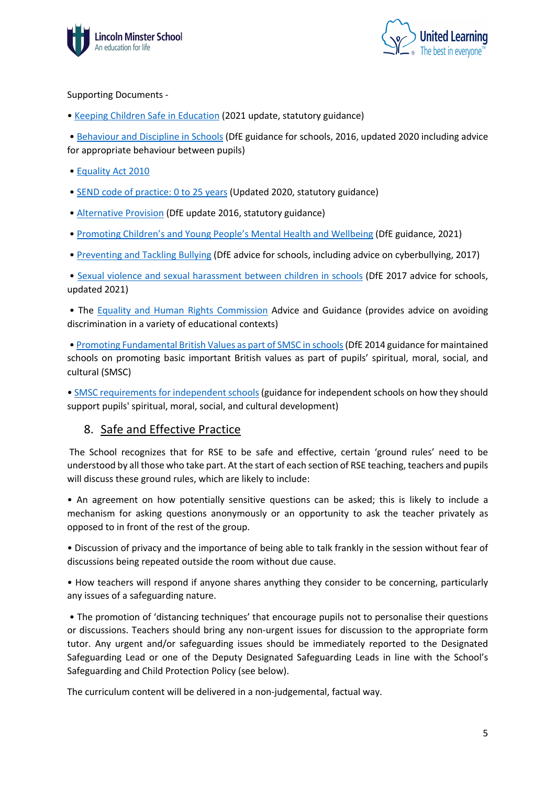



#### Supporting Documents -

• Keeping Children Safe in Education (2021 update, statutory guidance)

• Behaviour and Discipline in Schools (DfE guidance for schools, 2016, updated 2020 including advice for appropriate behaviour between pupils)

- Equality Act 2010
- SEND code of practice: 0 to 25 years (Updated 2020, statutory guidance)
- **Alternative Provision** (DfE update 2016, statutory guidance)
- Promoting Children's and Young People's Mental Health and Wellbeing (DfE guidance, 2021)
- Preventing and Tackling Bullying (DfE advice for schools, including advice on cyberbullying, 2017)

• Sexual violence and sexual harassment between children in schools (DfE 2017 advice for schools, updated 2021)

• The Equality and Human Rights Commission Advice and Guidance (provides advice on avoiding discrimination in a variety of educational contexts)

• Promoting Fundamental British Values as part of SMSC in schools(DfE 2014 guidance for maintained schools on promoting basic important British values as part of pupils' spiritual, moral, social, and cultural (SMSC)

• SMSC requirements for independent schools (guidance for independent schools on how they should support pupils' spiritual, moral, social, and cultural development)

## 8. Safe and Effective Practice

The School recognizes that for RSE to be safe and effective, certain 'ground rules' need to be understood by all those who take part. At the start of each section of RSE teaching, teachers and pupils will discuss these ground rules, which are likely to include:

• An agreement on how potentially sensitive questions can be asked; this is likely to include a mechanism for asking questions anonymously or an opportunity to ask the teacher privately as opposed to in front of the rest of the group.

• Discussion of privacy and the importance of being able to talk frankly in the session without fear of discussions being repeated outside the room without due cause.

• How teachers will respond if anyone shares anything they consider to be concerning, particularly any issues of a safeguarding nature.

• The promotion of 'distancing techniques' that encourage pupils not to personalise their questions or discussions. Teachers should bring any non-urgent issues for discussion to the appropriate form tutor. Any urgent and/or safeguarding issues should be immediately reported to the Designated Safeguarding Lead or one of the Deputy Designated Safeguarding Leads in line with the School's Safeguarding and Child Protection Policy (see below).

The curriculum content will be delivered in a non-judgemental, factual way.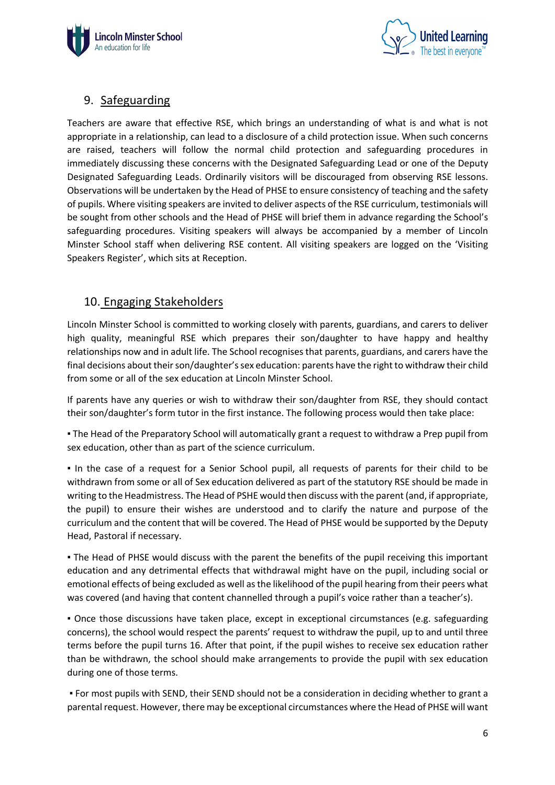



# 9. Safeguarding

Teachers are aware that effective RSE, which brings an understanding of what is and what is not appropriate in a relationship, can lead to a disclosure of a child protection issue. When such concerns are raised, teachers will follow the normal child protection and safeguarding procedures in immediately discussing these concerns with the Designated Safeguarding Lead or one of the Deputy Designated Safeguarding Leads. Ordinarily visitors will be discouraged from observing RSE lessons. Observations will be undertaken by the Head of PHSE to ensure consistency of teaching and the safety of pupils. Where visiting speakers are invited to deliver aspects of the RSE curriculum, testimonials will be sought from other schools and the Head of PHSE will brief them in advance regarding the School's safeguarding procedures. Visiting speakers will always be accompanied by a member of Lincoln Minster School staff when delivering RSE content. All visiting speakers are logged on the 'Visiting Speakers Register', which sits at Reception.

# 10. Engaging Stakeholders

Lincoln Minster School is committed to working closely with parents, guardians, and carers to deliver high quality, meaningful RSE which prepares their son/daughter to have happy and healthy relationships now and in adult life. The School recognises that parents, guardians, and carers have the final decisions about their son/daughter's sex education: parents have the right to withdraw their child from some or all of the sex education at Lincoln Minster School.

If parents have any queries or wish to withdraw their son/daughter from RSE, they should contact their son/daughter's form tutor in the first instance. The following process would then take place:

. The Head of the Preparatory School will automatically grant a request to withdraw a Prep pupil from sex education, other than as part of the science curriculum.

▪ In the case of a request for a Senior School pupil, all requests of parents for their child to be withdrawn from some or all of Sex education delivered as part of the statutory RSE should be made in writing to the Headmistress. The Head of PSHE would then discuss with the parent (and, if appropriate, the pupil) to ensure their wishes are understood and to clarify the nature and purpose of the curriculum and the content that will be covered. The Head of PHSE would be supported by the Deputy Head, Pastoral if necessary.

. The Head of PHSE would discuss with the parent the benefits of the pupil receiving this important education and any detrimental effects that withdrawal might have on the pupil, including social or emotional effects of being excluded as well as the likelihood of the pupil hearing from their peers what was covered (and having that content channelled through a pupil's voice rather than a teacher's).

▪ Once those discussions have taken place, except in exceptional circumstances (e.g. safeguarding concerns), the school would respect the parents' request to withdraw the pupil, up to and until three terms before the pupil turns 16. After that point, if the pupil wishes to receive sex education rather than be withdrawn, the school should make arrangements to provide the pupil with sex education during one of those terms.

▪ For most pupils with SEND, their SEND should not be a consideration in deciding whether to grant a parental request. However, there may be exceptional circumstances where the Head of PHSE will want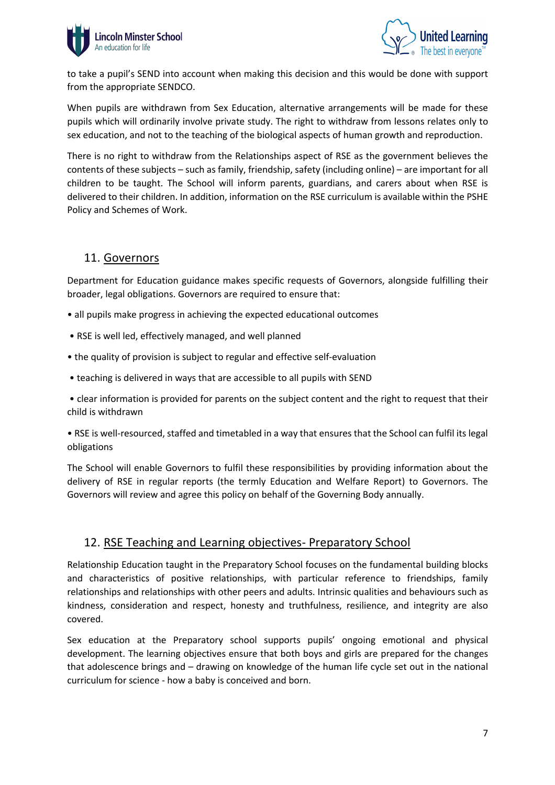



to take a pupil's SEND into account when making this decision and this would be done with support from the appropriate SENDCO.

When pupils are withdrawn from Sex Education, alternative arrangements will be made for these pupils which will ordinarily involve private study. The right to withdraw from lessons relates only to sex education, and not to the teaching of the biological aspects of human growth and reproduction.

There is no right to withdraw from the Relationships aspect of RSE as the government believes the contents of these subjects – such as family, friendship, safety (including online) – are important for all children to be taught. The School will inform parents, guardians, and carers about when RSE is delivered to their children. In addition, information on the RSE curriculum is available within the PSHE Policy and Schemes of Work.

#### 11. Governors

Department for Education guidance makes specific requests of Governors, alongside fulfilling their broader, legal obligations. Governors are required to ensure that:

- all pupils make progress in achieving the expected educational outcomes
- RSE is well led, effectively managed, and well planned
- the quality of provision is subject to regular and effective self-evaluation
- teaching is delivered in ways that are accessible to all pupils with SEND

• clear information is provided for parents on the subject content and the right to request that their child is withdrawn

• RSE is well-resourced, staffed and timetabled in a way that ensures that the School can fulfil its legal obligations

The School will enable Governors to fulfil these responsibilities by providing information about the delivery of RSE in regular reports (the termly Education and Welfare Report) to Governors. The Governors will review and agree this policy on behalf of the Governing Body annually.

## 12. RSE Teaching and Learning objectives- Preparatory School

Relationship Education taught in the Preparatory School focuses on the fundamental building blocks and characteristics of positive relationships, with particular reference to friendships, family relationships and relationships with other peers and adults. Intrinsic qualities and behaviours such as kindness, consideration and respect, honesty and truthfulness, resilience, and integrity are also covered.

Sex education at the Preparatory school supports pupils' ongoing emotional and physical development. The learning objectives ensure that both boys and girls are prepared for the changes that adolescence brings and – drawing on knowledge of the human life cycle set out in the national curriculum for science - how a baby is conceived and born.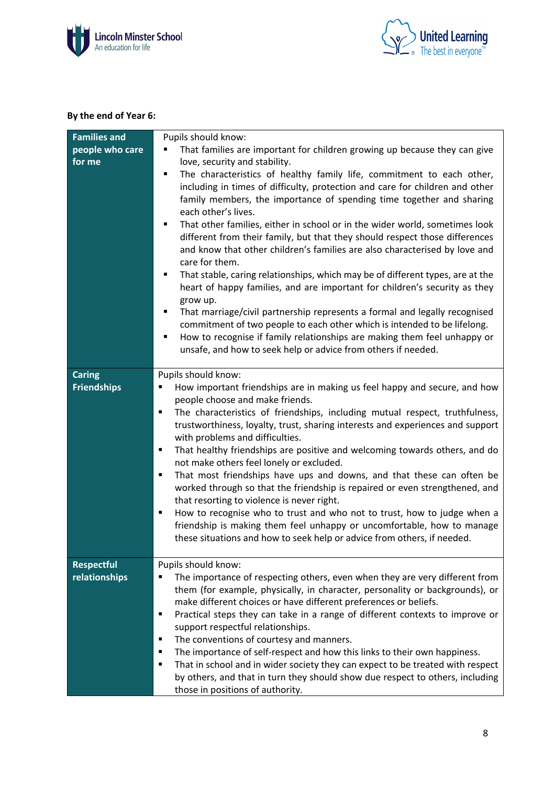



#### **By the end of Year 6:**

| <b>Families and</b>                | Pupils should know:                                                                                                                                                                                                                                                                                                                                                                                                                                                                                                                                                                                                                                                                                                                                                                                                                                                                                                                                                                                        |
|------------------------------------|------------------------------------------------------------------------------------------------------------------------------------------------------------------------------------------------------------------------------------------------------------------------------------------------------------------------------------------------------------------------------------------------------------------------------------------------------------------------------------------------------------------------------------------------------------------------------------------------------------------------------------------------------------------------------------------------------------------------------------------------------------------------------------------------------------------------------------------------------------------------------------------------------------------------------------------------------------------------------------------------------------|
| people who care                    | That families are important for children growing up because they can give                                                                                                                                                                                                                                                                                                                                                                                                                                                                                                                                                                                                                                                                                                                                                                                                                                                                                                                                  |
| for me                             | love, security and stability.                                                                                                                                                                                                                                                                                                                                                                                                                                                                                                                                                                                                                                                                                                                                                                                                                                                                                                                                                                              |
|                                    | The characteristics of healthy family life, commitment to each other,<br>including in times of difficulty, protection and care for children and other<br>family members, the importance of spending time together and sharing<br>each other's lives.<br>That other families, either in school or in the wider world, sometimes look<br>different from their family, but that they should respect those differences<br>and know that other children's families are also characterised by love and<br>care for them.<br>That stable, caring relationships, which may be of different types, are at the<br>٠<br>heart of happy families, and are important for children's security as they<br>grow up.<br>That marriage/civil partnership represents a formal and legally recognised<br>commitment of two people to each other which is intended to be lifelong.<br>How to recognise if family relationships are making them feel unhappy or<br>unsafe, and how to seek help or advice from others if needed. |
|                                    |                                                                                                                                                                                                                                                                                                                                                                                                                                                                                                                                                                                                                                                                                                                                                                                                                                                                                                                                                                                                            |
| <b>Caring</b>                      | Pupils should know:                                                                                                                                                                                                                                                                                                                                                                                                                                                                                                                                                                                                                                                                                                                                                                                                                                                                                                                                                                                        |
| <b>Friendships</b>                 | How important friendships are in making us feel happy and secure, and how<br>people choose and make friends.                                                                                                                                                                                                                                                                                                                                                                                                                                                                                                                                                                                                                                                                                                                                                                                                                                                                                               |
|                                    | The characteristics of friendships, including mutual respect, truthfulness,<br>٠                                                                                                                                                                                                                                                                                                                                                                                                                                                                                                                                                                                                                                                                                                                                                                                                                                                                                                                           |
|                                    | trustworthiness, loyalty, trust, sharing interests and experiences and support                                                                                                                                                                                                                                                                                                                                                                                                                                                                                                                                                                                                                                                                                                                                                                                                                                                                                                                             |
|                                    | with problems and difficulties.                                                                                                                                                                                                                                                                                                                                                                                                                                                                                                                                                                                                                                                                                                                                                                                                                                                                                                                                                                            |
|                                    | That healthy friendships are positive and welcoming towards others, and do<br>٠                                                                                                                                                                                                                                                                                                                                                                                                                                                                                                                                                                                                                                                                                                                                                                                                                                                                                                                            |
|                                    | not make others feel lonely or excluded.                                                                                                                                                                                                                                                                                                                                                                                                                                                                                                                                                                                                                                                                                                                                                                                                                                                                                                                                                                   |
|                                    | That most friendships have ups and downs, and that these can often be<br>٠                                                                                                                                                                                                                                                                                                                                                                                                                                                                                                                                                                                                                                                                                                                                                                                                                                                                                                                                 |
|                                    | worked through so that the friendship is repaired or even strengthened, and                                                                                                                                                                                                                                                                                                                                                                                                                                                                                                                                                                                                                                                                                                                                                                                                                                                                                                                                |
|                                    | that resorting to violence is never right.                                                                                                                                                                                                                                                                                                                                                                                                                                                                                                                                                                                                                                                                                                                                                                                                                                                                                                                                                                 |
|                                    | How to recognise who to trust and who not to trust, how to judge when a<br>٠                                                                                                                                                                                                                                                                                                                                                                                                                                                                                                                                                                                                                                                                                                                                                                                                                                                                                                                               |
|                                    | friendship is making them feel unhappy or uncomfortable, how to manage                                                                                                                                                                                                                                                                                                                                                                                                                                                                                                                                                                                                                                                                                                                                                                                                                                                                                                                                     |
|                                    | these situations and how to seek help or advice from others, if needed.                                                                                                                                                                                                                                                                                                                                                                                                                                                                                                                                                                                                                                                                                                                                                                                                                                                                                                                                    |
|                                    |                                                                                                                                                                                                                                                                                                                                                                                                                                                                                                                                                                                                                                                                                                                                                                                                                                                                                                                                                                                                            |
| <b>Respectful</b><br>relationships | Pupils should know:                                                                                                                                                                                                                                                                                                                                                                                                                                                                                                                                                                                                                                                                                                                                                                                                                                                                                                                                                                                        |
|                                    | The importance of respecting others, even when they are very different from<br>them (for example, physically, in character, personality or backgrounds), or                                                                                                                                                                                                                                                                                                                                                                                                                                                                                                                                                                                                                                                                                                                                                                                                                                                |
|                                    | make different choices or have different preferences or beliefs.                                                                                                                                                                                                                                                                                                                                                                                                                                                                                                                                                                                                                                                                                                                                                                                                                                                                                                                                           |
|                                    | Practical steps they can take in a range of different contexts to improve or<br>٠                                                                                                                                                                                                                                                                                                                                                                                                                                                                                                                                                                                                                                                                                                                                                                                                                                                                                                                          |
|                                    | support respectful relationships.                                                                                                                                                                                                                                                                                                                                                                                                                                                                                                                                                                                                                                                                                                                                                                                                                                                                                                                                                                          |
|                                    | The conventions of courtesy and manners.<br>٠                                                                                                                                                                                                                                                                                                                                                                                                                                                                                                                                                                                                                                                                                                                                                                                                                                                                                                                                                              |
|                                    | The importance of self-respect and how this links to their own happiness.<br>٠                                                                                                                                                                                                                                                                                                                                                                                                                                                                                                                                                                                                                                                                                                                                                                                                                                                                                                                             |
|                                    | That in school and in wider society they can expect to be treated with respect<br>٠                                                                                                                                                                                                                                                                                                                                                                                                                                                                                                                                                                                                                                                                                                                                                                                                                                                                                                                        |
|                                    | by others, and that in turn they should show due respect to others, including                                                                                                                                                                                                                                                                                                                                                                                                                                                                                                                                                                                                                                                                                                                                                                                                                                                                                                                              |
|                                    | those in positions of authority.                                                                                                                                                                                                                                                                                                                                                                                                                                                                                                                                                                                                                                                                                                                                                                                                                                                                                                                                                                           |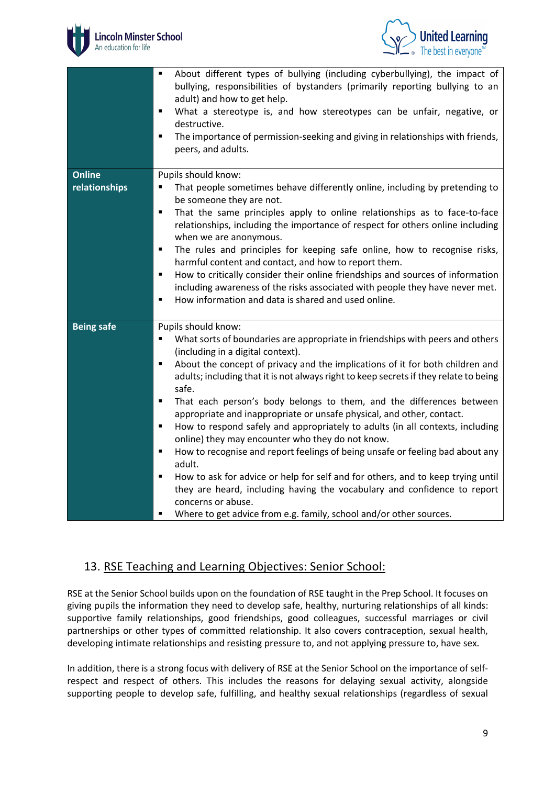



|                                | About different types of bullying (including cyberbullying), the impact of<br>bullying, responsibilities of bystanders (primarily reporting bullying to an<br>adult) and how to get help.<br>What a stereotype is, and how stereotypes can be unfair, negative, or<br>٠<br>destructive.<br>The importance of permission-seeking and giving in relationships with friends,<br>$\blacksquare$<br>peers, and adults.                                                                                                                                                                                                                                                                                                                                                                                                                                                                                                                                                                                                   |
|--------------------------------|---------------------------------------------------------------------------------------------------------------------------------------------------------------------------------------------------------------------------------------------------------------------------------------------------------------------------------------------------------------------------------------------------------------------------------------------------------------------------------------------------------------------------------------------------------------------------------------------------------------------------------------------------------------------------------------------------------------------------------------------------------------------------------------------------------------------------------------------------------------------------------------------------------------------------------------------------------------------------------------------------------------------|
| <b>Online</b><br>relationships | Pupils should know:<br>That people sometimes behave differently online, including by pretending to<br>be someone they are not.<br>That the same principles apply to online relationships as to face-to-face<br>٠<br>relationships, including the importance of respect for others online including<br>when we are anonymous.<br>The rules and principles for keeping safe online, how to recognise risks,<br>٠<br>harmful content and contact, and how to report them.<br>How to critically consider their online friendships and sources of information<br>٠<br>including awareness of the risks associated with people they have never met.<br>How information and data is shared and used online.<br>٠                                                                                                                                                                                                                                                                                                           |
| <b>Being safe</b>              | Pupils should know:<br>What sorts of boundaries are appropriate in friendships with peers and others<br>٠<br>(including in a digital context).<br>About the concept of privacy and the implications of it for both children and<br>٠<br>adults; including that it is not always right to keep secrets if they relate to being<br>safe.<br>That each person's body belongs to them, and the differences between<br>٠<br>appropriate and inappropriate or unsafe physical, and other, contact.<br>How to respond safely and appropriately to adults (in all contexts, including<br>٠<br>online) they may encounter who they do not know.<br>How to recognise and report feelings of being unsafe or feeling bad about any<br>$\blacksquare$<br>adult.<br>How to ask for advice or help for self and for others, and to keep trying until<br>٠<br>they are heard, including having the vocabulary and confidence to report<br>concerns or abuse.<br>Where to get advice from e.g. family, school and/or other sources. |

## 13. RSE Teaching and Learning Objectives: Senior School:

RSE at the Senior School builds upon on the foundation of RSE taught in the Prep School. It focuses on giving pupils the information they need to develop safe, healthy, nurturing relationships of all kinds: supportive family relationships, good friendships, good colleagues, successful marriages or civil partnerships or other types of committed relationship. It also covers contraception, sexual health, developing intimate relationships and resisting pressure to, and not applying pressure to, have sex.

In addition, there is a strong focus with delivery of RSE at the Senior School on the importance of selfrespect and respect of others. This includes the reasons for delaying sexual activity, alongside supporting people to develop safe, fulfilling, and healthy sexual relationships (regardless of sexual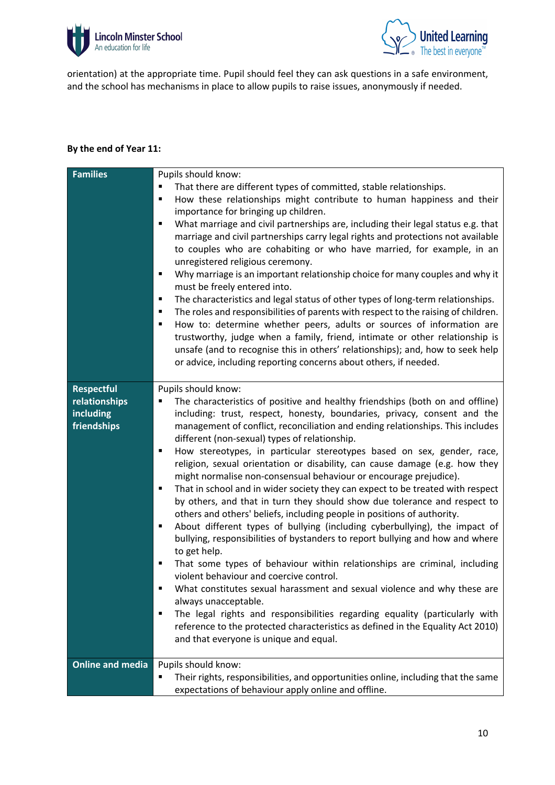



orientation) at the appropriate time. Pupil should feel they can ask questions in a safe environment, and the school has mechanisms in place to allow pupils to raise issues, anonymously if needed.

#### **By the end of Year 11:**

| <b>Families</b>                                                | Pupils should know:                                                                                                                                                                                                                                                                                                                                                                                                                                                                                                                                                                                                                                                                                                                                                                                                                                                                                                                                                                                                                                                                                                                                                                                                                                                                                                                                                                                                               |
|----------------------------------------------------------------|-----------------------------------------------------------------------------------------------------------------------------------------------------------------------------------------------------------------------------------------------------------------------------------------------------------------------------------------------------------------------------------------------------------------------------------------------------------------------------------------------------------------------------------------------------------------------------------------------------------------------------------------------------------------------------------------------------------------------------------------------------------------------------------------------------------------------------------------------------------------------------------------------------------------------------------------------------------------------------------------------------------------------------------------------------------------------------------------------------------------------------------------------------------------------------------------------------------------------------------------------------------------------------------------------------------------------------------------------------------------------------------------------------------------------------------|
|                                                                | That there are different types of committed, stable relationships.<br>٠<br>How these relationships might contribute to human happiness and their<br>Ξ<br>importance for bringing up children.<br>What marriage and civil partnerships are, including their legal status e.g. that<br>٠<br>marriage and civil partnerships carry legal rights and protections not available<br>to couples who are cohabiting or who have married, for example, in an<br>unregistered religious ceremony.<br>Why marriage is an important relationship choice for many couples and why it<br>٠                                                                                                                                                                                                                                                                                                                                                                                                                                                                                                                                                                                                                                                                                                                                                                                                                                                      |
|                                                                | must be freely entered into.<br>The characteristics and legal status of other types of long-term relationships.<br>٠<br>The roles and responsibilities of parents with respect to the raising of children.<br>٠<br>How to: determine whether peers, adults or sources of information are<br>٠<br>trustworthy, judge when a family, friend, intimate or other relationship is<br>unsafe (and to recognise this in others' relationships); and, how to seek help<br>or advice, including reporting concerns about others, if needed.                                                                                                                                                                                                                                                                                                                                                                                                                                                                                                                                                                                                                                                                                                                                                                                                                                                                                                |
| <b>Respectful</b><br>relationships<br>including<br>friendships | Pupils should know:<br>The characteristics of positive and healthy friendships (both on and offline)<br>including: trust, respect, honesty, boundaries, privacy, consent and the<br>management of conflict, reconciliation and ending relationships. This includes<br>different (non-sexual) types of relationship.<br>How stereotypes, in particular stereotypes based on sex, gender, race,<br>٠<br>religion, sexual orientation or disability, can cause damage (e.g. how they<br>might normalise non-consensual behaviour or encourage prejudice).<br>That in school and in wider society they can expect to be treated with respect<br>٠<br>by others, and that in turn they should show due tolerance and respect to<br>others and others' beliefs, including people in positions of authority.<br>About different types of bullying (including cyberbullying), the impact of<br>٠<br>bullying, responsibilities of bystanders to report bullying and how and where<br>to get help.<br>That some types of behaviour within relationships are criminal, including<br>violent behaviour and coercive control.<br>What constitutes sexual harassment and sexual violence and why these are<br>always unacceptable.<br>The legal rights and responsibilities regarding equality (particularly with<br>reference to the protected characteristics as defined in the Equality Act 2010)<br>and that everyone is unique and equal. |
| <b>Online and media</b>                                        | Pupils should know:<br>Their rights, responsibilities, and opportunities online, including that the same<br>expectations of behaviour apply online and offline.                                                                                                                                                                                                                                                                                                                                                                                                                                                                                                                                                                                                                                                                                                                                                                                                                                                                                                                                                                                                                                                                                                                                                                                                                                                                   |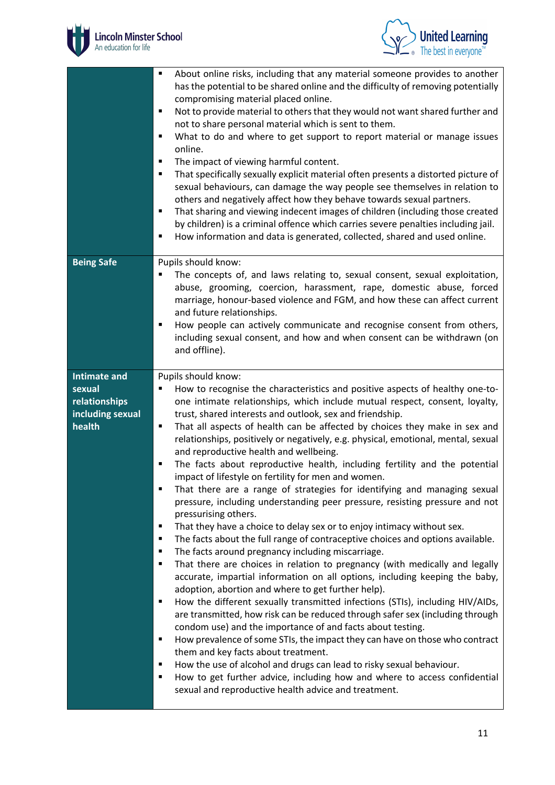



|                                                                              | About online risks, including that any material someone provides to another<br>٠<br>has the potential to be shared online and the difficulty of removing potentially<br>compromising material placed online.<br>Not to provide material to others that they would not want shared further and<br>٠<br>not to share personal material which is sent to them.<br>What to do and where to get support to report material or manage issues<br>٠<br>online.<br>The impact of viewing harmful content.<br>$\blacksquare$<br>That specifically sexually explicit material often presents a distorted picture of<br>٠<br>sexual behaviours, can damage the way people see themselves in relation to<br>others and negatively affect how they behave towards sexual partners.<br>That sharing and viewing indecent images of children (including those created<br>٠<br>by children) is a criminal offence which carries severe penalties including jail.<br>How information and data is generated, collected, shared and used online.<br>٠                                                                                                                                                                                                                                                                                                                                                                                                                                                                                                                                                                                                                                                                                                                                                                                                             |
|------------------------------------------------------------------------------|-----------------------------------------------------------------------------------------------------------------------------------------------------------------------------------------------------------------------------------------------------------------------------------------------------------------------------------------------------------------------------------------------------------------------------------------------------------------------------------------------------------------------------------------------------------------------------------------------------------------------------------------------------------------------------------------------------------------------------------------------------------------------------------------------------------------------------------------------------------------------------------------------------------------------------------------------------------------------------------------------------------------------------------------------------------------------------------------------------------------------------------------------------------------------------------------------------------------------------------------------------------------------------------------------------------------------------------------------------------------------------------------------------------------------------------------------------------------------------------------------------------------------------------------------------------------------------------------------------------------------------------------------------------------------------------------------------------------------------------------------------------------------------------------------------------------------------------------------|
| <b>Being Safe</b>                                                            | Pupils should know:<br>The concepts of, and laws relating to, sexual consent, sexual exploitation,<br>٠<br>abuse, grooming, coercion, harassment, rape, domestic abuse, forced<br>marriage, honour-based violence and FGM, and how these can affect current<br>and future relationships.<br>How people can actively communicate and recognise consent from others,<br>٠<br>including sexual consent, and how and when consent can be withdrawn (on<br>and offline).                                                                                                                                                                                                                                                                                                                                                                                                                                                                                                                                                                                                                                                                                                                                                                                                                                                                                                                                                                                                                                                                                                                                                                                                                                                                                                                                                                           |
| <b>Intimate and</b><br>sexual<br>relationships<br>including sexual<br>health | Pupils should know:<br>How to recognise the characteristics and positive aspects of healthy one-to-<br>one intimate relationships, which include mutual respect, consent, loyalty,<br>trust, shared interests and outlook, sex and friendship.<br>That all aspects of health can be affected by choices they make in sex and<br>٠<br>relationships, positively or negatively, e.g. physical, emotional, mental, sexual<br>and reproductive health and wellbeing.<br>The facts about reproductive health, including fertility and the potential<br>٠<br>impact of lifestyle on fertility for men and women.<br>That there are a range of strategies for identifying and managing sexual<br>pressure, including understanding peer pressure, resisting pressure and not<br>pressurising others.<br>That they have a choice to delay sex or to enjoy intimacy without sex.<br>٠<br>The facts about the full range of contraceptive choices and options available.<br>٠<br>The facts around pregnancy including miscarriage.<br>٠<br>That there are choices in relation to pregnancy (with medically and legally<br>٠<br>accurate, impartial information on all options, including keeping the baby,<br>adoption, abortion and where to get further help).<br>How the different sexually transmitted infections (STIs), including HIV/AIDs,<br>٠<br>are transmitted, how risk can be reduced through safer sex (including through<br>condom use) and the importance of and facts about testing.<br>How prevalence of some STIs, the impact they can have on those who contract<br>٠<br>them and key facts about treatment.<br>How the use of alcohol and drugs can lead to risky sexual behaviour.<br>٠<br>How to get further advice, including how and where to access confidential<br>٠<br>sexual and reproductive health advice and treatment. |